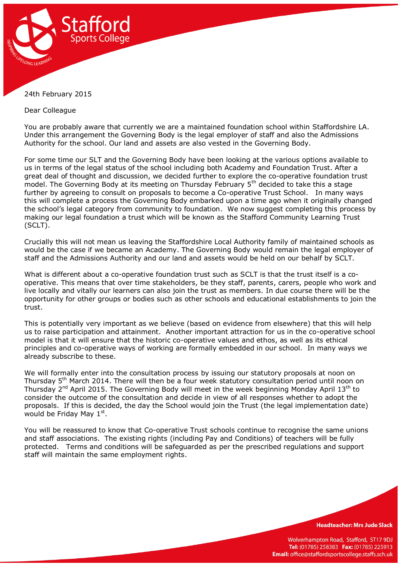

## 24th February 2015

Dear Colleague

You are probably aware that currently we are a maintained foundation school within Staffordshire LA. Under this arrangement the Governing Body is the legal employer of staff and also the Admissions Authority for the school. Our land and assets are also vested in the Governing Body.

For some time our SLT and the Governing Body have been looking at the various options available to us in terms of the legal status of the school including both Academy and Foundation Trust. After a great deal of thought and discussion, we decided further to explore the co-operative foundation trust model. The Governing Body at its meeting on Thursday February 5<sup>th</sup> decided to take this a stage further by agreeing to consult on proposals to become a Co-operative Trust School. In many ways this will complete a process the Governing Body embarked upon a time ago when it originally changed the school's legal category from community to foundation. We now suggest completing this process by making our legal foundation a trust which will be known as the Stafford Community Learning Trust (SCLT).

Crucially this will not mean us leaving the Staffordshire Local Authority family of maintained schools as would be the case if we became an Academy. The Governing Body would remain the legal employer of staff and the Admissions Authority and our land and assets would be held on our behalf by SCLT.

What is different about a co-operative foundation trust such as SCLT is that the trust itself is a cooperative. This means that over time stakeholders, be they staff, parents, carers, people who work and live locally and vitally our learners can also join the trust as members. In due course there will be the opportunity for other groups or bodies such as other schools and educational establishments to join the trust.

This is potentially very important as we believe (based on evidence from elsewhere) that this will help us to raise participation and attainment. Another important attraction for us in the co-operative school model is that it will ensure that the historic co-operative values and ethos, as well as its ethical principles and co-operative ways of working are formally embedded in our school. In many ways we already subscribe to these.

We will formally enter into the consultation process by issuing our statutory proposals at noon on Thursday 5<sup>th</sup> March 2014. There will then be a four week statutory consultation period until noon on Thursday 2<sup>nd</sup> April 2015. The Governing Body will meet in the week beginning Monday April 13<sup>th</sup> to consider the outcome of the consultation and decide in view of all responses whether to adopt the proposals. If this is decided, the day the School would join the Trust (the legal implementation date) would be Friday May  $1^{\text{st}}$ .

You will be reassured to know that Co-operative Trust schools continue to recognise the same unions and staff associations. The existing rights (including Pay and Conditions) of teachers will be fully protected. Terms and conditions will be safeguarded as per the prescribed regulations and support staff will maintain the same employment rights.

**Headteacher: Mrs Jude Slack** 

Wolverhampton Road, Stafford, ST17 9DJ Tel: (01785) 258383 Fax: (01785) 225913 Email: office@staffordsportscollege.staffs.sch.uk